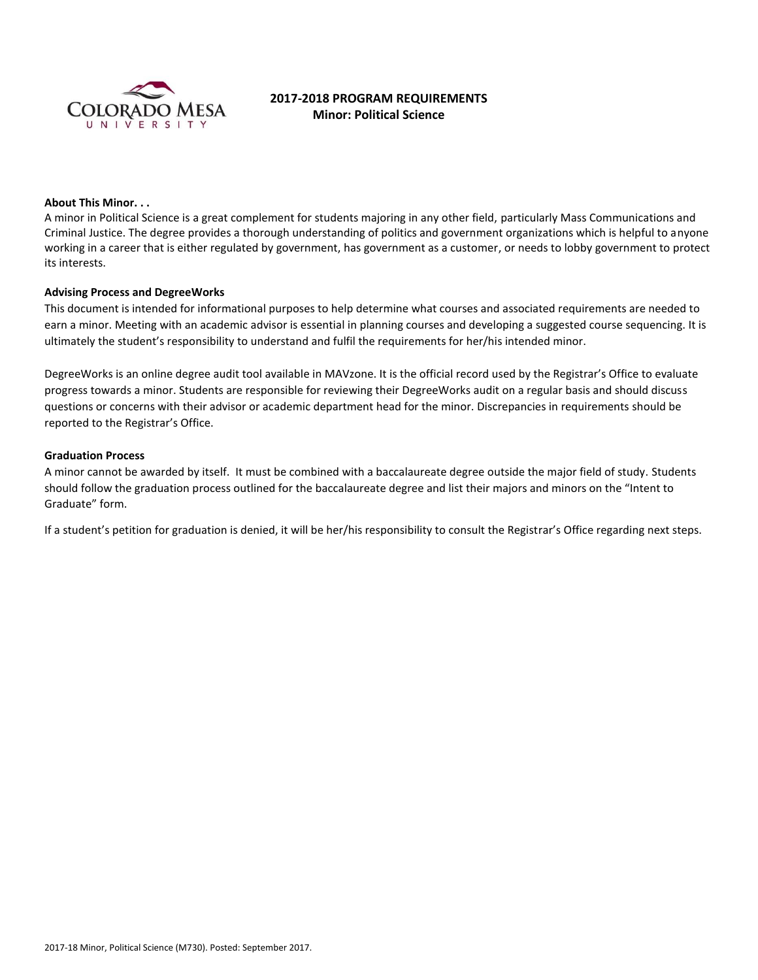

# **2017-2018 PROGRAM REQUIREMENTS Minor: Political Science**

### **About This Minor. . .**

A minor in Political Science is a great complement for students majoring in any other field, particularly Mass Communications and Criminal Justice. The degree provides a thorough understanding of politics and government organizations which is helpful to anyone working in a career that is either regulated by government, has government as a customer, or needs to lobby government to protect its interests.

#### **Advising Process and DegreeWorks**

This document is intended for informational purposes to help determine what courses and associated requirements are needed to earn a minor. Meeting with an academic advisor is essential in planning courses and developing a suggested course sequencing. It is ultimately the student's responsibility to understand and fulfil the requirements for her/his intended minor.

DegreeWorks is an online degree audit tool available in MAVzone. It is the official record used by the Registrar's Office to evaluate progress towards a minor. Students are responsible for reviewing their DegreeWorks audit on a regular basis and should discuss questions or concerns with their advisor or academic department head for the minor. Discrepancies in requirements should be reported to the Registrar's Office.

### **Graduation Process**

A minor cannot be awarded by itself. It must be combined with a baccalaureate degree outside the major field of study. Students should follow the graduation process outlined for the baccalaureate degree and list their majors and minors on the "Intent to Graduate" form.

If a student's petition for graduation is denied, it will be her/his responsibility to consult the Registrar's Office regarding next steps.